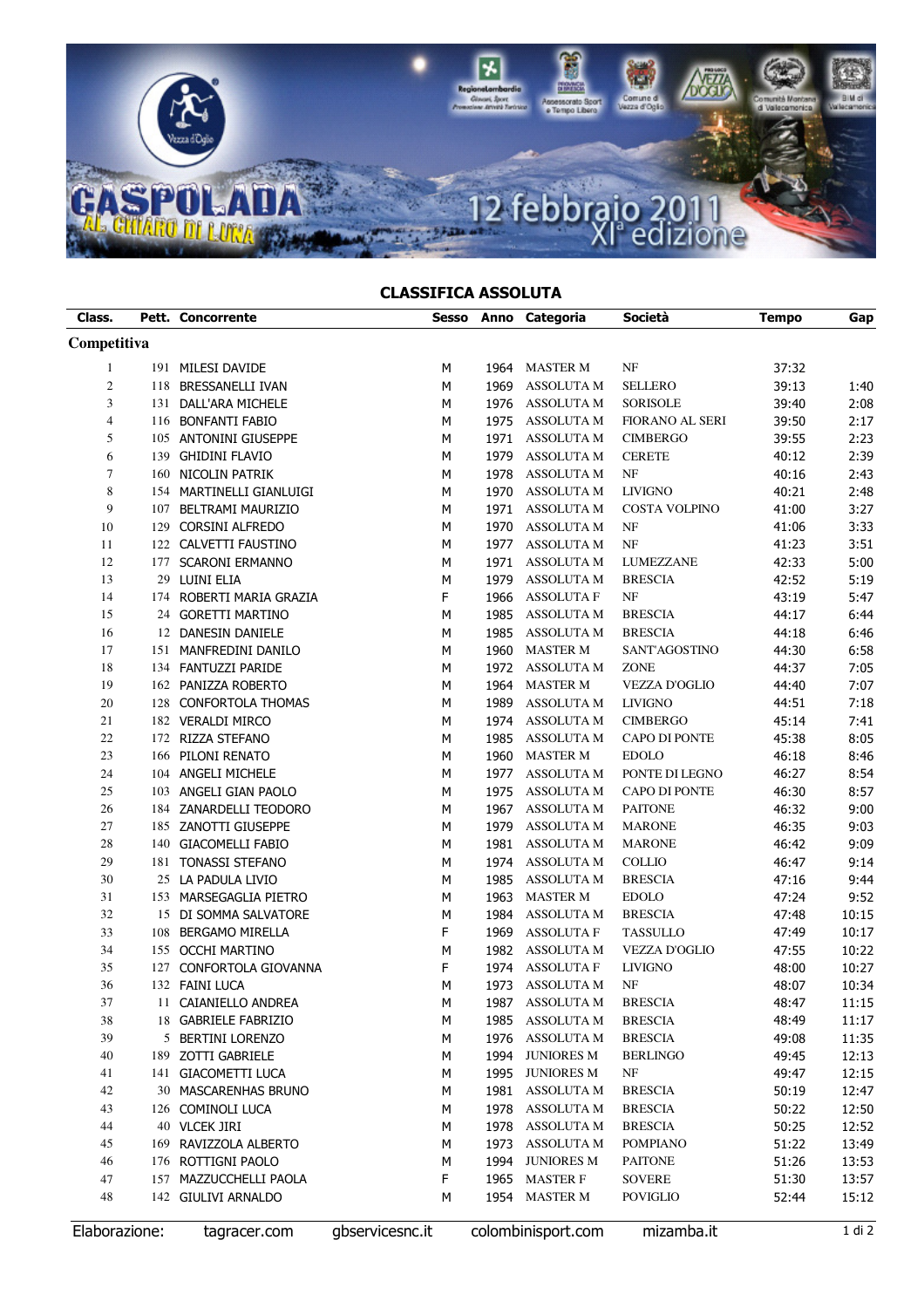

## CLASSIFICA ASSOLUTA

| Class.         |     | <b>Pett. Concorrente</b>               | Sesso           |      | Anno Categoria                  | Società              | <b>Tempo</b> | Gap    |
|----------------|-----|----------------------------------------|-----------------|------|---------------------------------|----------------------|--------------|--------|
| Competitiva    |     |                                        |                 |      |                                 |                      |              |        |
| $\mathbf{1}$   |     | 191 MILESI DAVIDE                      | м               | 1964 | <b>MASTER M</b>                 | NF                   | 37:32        |        |
| $\overline{c}$ |     | 118 BRESSANELLI IVAN                   | M               | 1969 | <b>ASSOLUTA M</b>               | <b>SELLERO</b>       | 39:13        | 1:40   |
| 3              |     | 131 DALL'ARA MICHELE                   | М               | 1976 | ASSOLUTA M                      | <b>SORISOLE</b>      | 39:40        | 2:08   |
| $\overline{4}$ |     | 116 BONFANTI FABIO                     | M               | 1975 | <b>ASSOLUTA M</b>               | FIORANO AL SERI      | 39:50        | 2:17   |
| 5              |     | 105 ANTONINI GIUSEPPE                  | M               | 1971 | <b>ASSOLUTA M</b>               | <b>CIMBERGO</b>      | 39:55        | 2:23   |
| 6              |     | 139 GHIDINI FLAVIO                     | M               | 1979 | ASSOLUTA M                      | <b>CERETE</b>        | 40:12        | 2:39   |
| $\tau$         |     | 160 NICOLIN PATRIK                     | M               | 1978 | <b>ASSOLUTA M</b>               | NF                   | 40:16        | 2:43   |
| $\,$ 8 $\,$    |     | 154 MARTINELLI GIANLUIGI               | M               | 1970 | <b>ASSOLUTA M</b>               | <b>LIVIGNO</b>       | 40:21        | 2:48   |
| 9              |     | 107 BELTRAMI MAURIZIO                  | M               | 1971 | <b>ASSOLUTA M</b>               | <b>COSTA VOLPINO</b> | 41:00        | 3:27   |
| 10             |     | 129 CORSINI ALFREDO                    | M               | 1970 | <b>ASSOLUTA M</b>               | $\rm{NF}$            | 41:06        | 3:33   |
| 11             |     | 122 CALVETTI FAUSTINO                  | M               | 1977 | <b>ASSOLUTA M</b>               | $_{\rm NF}$          | 41:23        | 3:51   |
| 12             |     | 177 SCARONI ERMANNO                    | M               | 1971 | <b>ASSOLUTA M</b>               | LUMEZZANE            | 42:33        | 5:00   |
| 13             |     | 29 LUINI ELIA                          | M               | 1979 | <b>ASSOLUTA M</b>               | <b>BRESCIA</b>       | 42:52        | 5:19   |
| 14             |     | 174 ROBERTI MARIA GRAZIA               | F               | 1966 | <b>ASSOLUTA F</b>               | $\rm{NF}$            | 43:19        | 5:47   |
| 15             |     | 24 GORETTI MARTINO                     | M               | 1985 | <b>ASSOLUTA M</b>               | <b>BRESCIA</b>       | 44:17        | 6:44   |
| 16             |     | 12 DANESIN DANIELE                     | M               | 1985 | ASSOLUTA M                      | <b>BRESCIA</b>       | 44:18        | 6:46   |
| 17             |     | 151 MANFREDINI DANILO                  | M               | 1960 | <b>MASTER M</b>                 | SANT'AGOSTINO        | 44:30        | 6:58   |
| 18             |     | 134 FANTUZZI PARIDE                    | M               |      | 1972 ASSOLUTA M                 | <b>ZONE</b>          | 44:37        | 7:05   |
| 19             |     | 162 PANIZZA ROBERTO                    | м               | 1964 | <b>MASTER M</b>                 | <b>VEZZA D'OGLIO</b> | 44:40        | 7:07   |
| 20             |     | 128 CONFORTOLA THOMAS                  | M               | 1989 | <b>ASSOLUTA M</b>               | <b>LIVIGNO</b>       | 44:51        | 7:18   |
| 21             |     | 182 VERALDI MIRCO                      | м               | 1974 | <b>ASSOLUTA M</b>               | <b>CIMBERGO</b>      | 45:14        | 7:41   |
| $22\,$         |     | 172 RIZZA STEFANO                      | M               | 1985 | <b>ASSOLUTA M</b>               | CAPO DI PONTE        | 45:38        | 8:05   |
| 23             |     | 166 PILONI RENATO                      | M               | 1960 | <b>MASTER M</b>                 | <b>EDOLO</b>         | 46:18        | 8:46   |
| 24             |     | 104 ANGELI MICHELE                     | M               | 1977 | <b>ASSOLUTA M</b>               | PONTE DI LEGNO       | 46:27        | 8:54   |
| 25             |     | 103 ANGELI GIAN PAOLO                  | M               | 1975 | <b>ASSOLUTA M</b>               | CAPO DI PONTE        | 46:30        | 8:57   |
| 26             |     | 184 ZANARDELLI TEODORO                 | M               | 1967 | <b>ASSOLUTA M</b>               | <b>PAITONE</b>       | 46:32        | 9:00   |
| 27             |     | 185 ZANOTTI GIUSEPPE                   | M               | 1979 | <b>ASSOLUTA M</b>               | <b>MARONE</b>        | 46:35        | 9:03   |
| 28             |     | 140 GIACOMELLI FABIO                   | М               | 1981 | <b>ASSOLUTA M</b>               | <b>MARONE</b>        | 46:42        | 9:09   |
| 29             |     | 181 TONASSI STEFANO                    | M               | 1974 | <b>ASSOLUTA M</b>               | <b>COLLIO</b>        | 46:47        | 9:14   |
| 30             |     | 25 LA PADULA LIVIO                     | M               | 1985 | ASSOLUTA M                      | <b>BRESCIA</b>       |              |        |
|                |     |                                        |                 |      |                                 |                      | 47:16        | 9:44   |
| 31             |     | 153 MARSEGAGLIA PIETRO                 | M               | 1963 | <b>MASTER M</b>                 | <b>EDOLO</b>         | 47:24        | 9:52   |
| 32             |     | 15 DI SOMMA SALVATORE                  | M<br>F          | 1984 | <b>ASSOLUTA M</b>               | <b>BRESCIA</b>       | 47:48        | 10:15  |
| 33             |     | 108 BERGAMO MIRELLA                    |                 | 1969 | <b>ASSOLUTA F</b>               | <b>TASSULLO</b>      | 47:49        | 10:17  |
| 34             |     | 155 OCCHI MARTINO                      | M               | 1982 | ASSOLUTA M                      | <b>VEZZA D'OGLIO</b> | 47:55        | 10:22  |
| 35             |     | 127 CONFORTOLA GIOVANNA                | F               | 1974 | <b>ASSOLUTA F</b>               | <b>LIVIGNO</b>       | 48:00        | 10:27  |
| 36             |     | 132 FAINI LUCA<br>11 CAIANIELLO ANDREA | M               | 1973 | <b>ASSOLUTA M</b><br>ASSOLUTA M | NF<br><b>BRESCIA</b> | 48:07        | 10:34  |
| 37             |     |                                        | M               | 1987 |                                 |                      | 48:47        | 11:15  |
| 38             |     | 18 GABRIELE FABRIZIO                   | M               | 1985 | ASSOLUTA M                      | <b>BRESCIA</b>       | 48:49        | 11:17  |
| 39             |     | 5 BERTINI LORENZO                      | M               | 1976 | <b>ASSOLUTA M</b>               | <b>BRESCIA</b>       | 49:08        | 11:35  |
| 40             |     | 189 ZOTTI GABRIELE                     | M               | 1994 | <b>JUNIORES M</b>               | <b>BERLINGO</b>      | 49:45        | 12:13  |
| 41             | 141 | <b>GIACOMETTI LUCA</b>                 | M               | 1995 | <b>JUNIORES M</b>               | NF                   | 49:47        | 12:15  |
| 42             |     | 30 MASCARENHAS BRUNO                   | М               | 1981 | <b>ASSOLUTA M</b>               | <b>BRESCIA</b>       | 50:19        | 12:47  |
| 43             |     | 126 COMINOLI LUCA                      | М               | 1978 | <b>ASSOLUTA M</b>               | <b>BRESCIA</b>       | 50:22        | 12:50  |
| 44             |     | 40 VLCEK JIRI                          | М               | 1978 | ASSOLUTA M                      | <b>BRESCIA</b>       | 50:25        | 12:52  |
| 45             |     | 169 RAVIZZOLA ALBERTO                  | М               | 1973 | <b>ASSOLUTA M</b>               | <b>POMPIANO</b>      | 51:22        | 13:49  |
| 46             |     | 176 ROTTIGNI PAOLO                     | М               | 1994 | <b>JUNIORES M</b>               | <b>PAITONE</b>       | 51:26        | 13:53  |
| 47             |     | 157 MAZZUCCHELLI PAOLA                 | F               |      | 1965 MASTER F                   | <b>SOVERE</b>        | 51:30        | 13:57  |
| 48             |     | 142 GIULIVI ARNALDO                    | М               | 1954 | <b>MASTER M</b>                 | <b>POVIGLIO</b>      | 52:44        | 15:12  |
| Elaborazione:  |     | tagracer.com                           | gbservicesnc.it |      | colombinisport.com              | mizamba.it           |              | 1 di 2 |